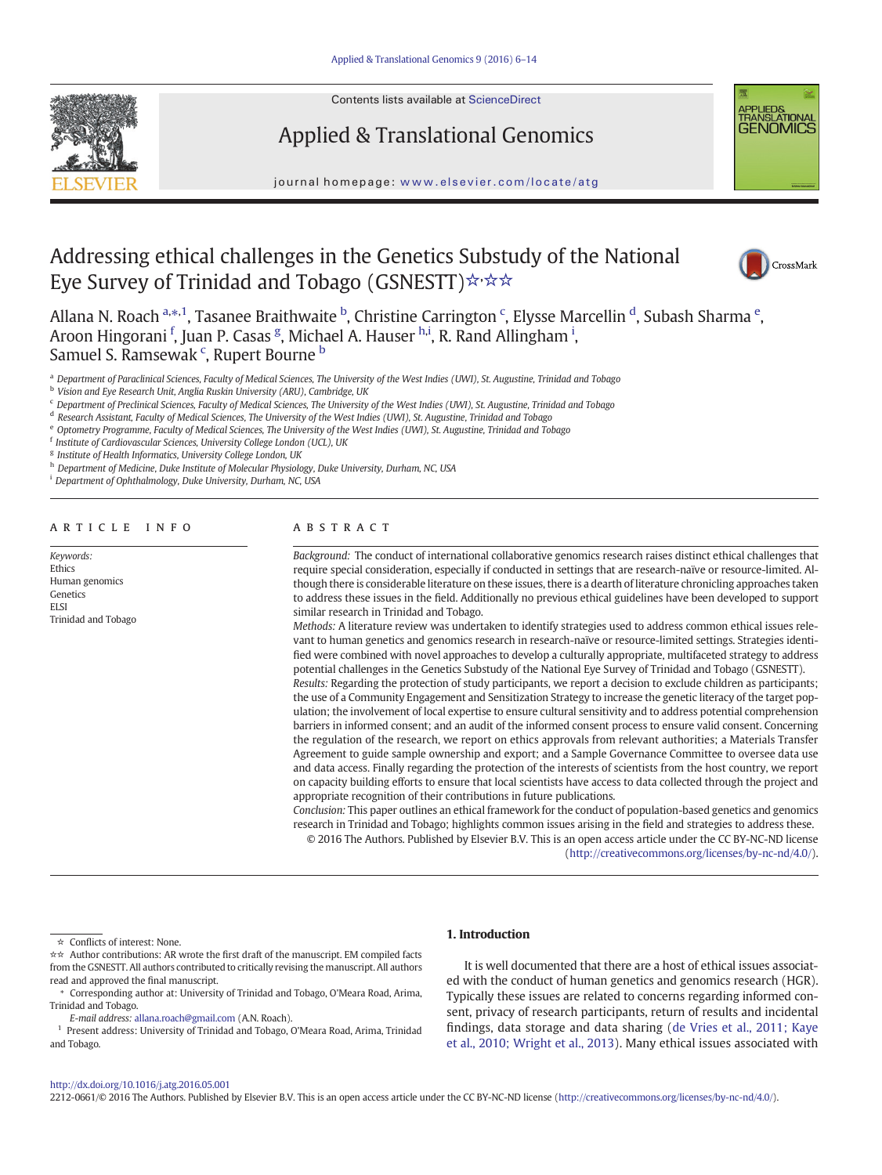

Contents lists available at [ScienceDirect](http://www.sciencedirect.com/science/journal/22120661)

# Applied & Translational Genomics



journal homepage: <www.elsevier.com/locate/atg>

# Addressing ethical challenges in the Genetics Substudy of the National Eye Survey of Trinidad and Tobago (GSNESTT) \*\*\*\*



Allana N. Roach <sup>a,\*,1</sup>, Tasanee Braithwaite <sup>b</sup>, Christine Carrington <sup>c</sup>, Elysse Marcellin <sup>d</sup>, Subash Sharma <sup>e</sup>, Aroon Hingorani <sup>f</sup>, Juan P. Casas <sup>g</sup>, Michael A. Hauser <sup>h,i</sup>, R. Rand Allingham <sup>i</sup>, Samuel S. Ramsewak <sup>c</sup>, Rupert Bourne b

<sup>a</sup> Department of Paraclinical Sciences, Faculty of Medical Sciences, The University of the West Indies (UWI), St. Augustine, Trinidad and Tobago

b Vision and Eye Research Unit, Anglia Ruskin University (ARU), Cambridge, UK

<sup>d</sup> Research Assistant, Faculty of Medical Sciences, The University of the West Indies (UWI), St. Augustine, Trinidad and Tobago

<sup>e</sup> Optometry Programme, Faculty of Medical Sciences, The University of the West Indies (UWI), St. Augustine, Trinidad and Tobago

<sup>f</sup> Institute of Cardiovascular Sciences, University College London (UCL), UK

<sup>g</sup> Institute of Health Informatics, University College London, UK

h Department of Medicine, Duke Institute of Molecular Physiology, Duke University, Durham, NC, USA

<sup>i</sup> Department of Ophthalmology, Duke University, Durham, NC, USA

#### article info abstract

Keywords: Ethics Human genomics Genetics ELSI Trinidad and Tobago

Background: The conduct of international collaborative genomics research raises distinct ethical challenges that require special consideration, especially if conducted in settings that are research-naïve or resource-limited. Although there is considerable literature on these issues, there is a dearth of literature chronicling approaches taken to address these issues in the field. Additionally no previous ethical guidelines have been developed to support similar research in Trinidad and Tobago.

Methods: A literature review was undertaken to identify strategies used to address common ethical issues relevant to human genetics and genomics research in research-naïve or resource-limited settings. Strategies identified were combined with novel approaches to develop a culturally appropriate, multifaceted strategy to address potential challenges in the Genetics Substudy of the National Eye Survey of Trinidad and Tobago (GSNESTT).

Results: Regarding the protection of study participants, we report a decision to exclude children as participants; the use of a Community Engagement and Sensitization Strategy to increase the genetic literacy of the target population; the involvement of local expertise to ensure cultural sensitivity and to address potential comprehension barriers in informed consent; and an audit of the informed consent process to ensure valid consent. Concerning the regulation of the research, we report on ethics approvals from relevant authorities; a Materials Transfer Agreement to guide sample ownership and export; and a Sample Governance Committee to oversee data use and data access. Finally regarding the protection of the interests of scientists from the host country, we report on capacity building efforts to ensure that local scientists have access to data collected through the project and appropriate recognition of their contributions in future publications.

Conclusion: This paper outlines an ethical framework for the conduct of population-based genetics and genomics research in Trinidad and Tobago; highlights common issues arising in the field and strategies to address these. © 2016 The Authors. Published by Elsevier B.V. This is an open access article under the CC BY-NC-ND license (http://creativecommons.org/licenses/by-nc-nd/4.0/).

E-mail address: [allana.roach@gmail.com](mailto:allana.roach@gmail.com) (A.N. Roach).

#### 1. Introduction

It is well documented that there are a host of ethical issues associated with the conduct of human genetics and genomics research (HGR). Typically these issues are related to concerns regarding informed consent, privacy of research participants, return of results and incidental findings, data storage and data sharing [\(de Vries et al., 2011; Kaye](#page-8-0) [et al., 2010; Wright et al., 2013\)](#page-8-0). Many ethical issues associated with

#### <http://dx.doi.org/10.1016/j.atg.2016.05.001>

2212-0661/© 2016 The Authors. Published by Elsevier B.V. This is an open access article under the CC BY-NC-ND license (http://creativecommons.org/licenses/by-nc-nd/4.0/).

<sup>c</sup> Department of Preclinical Sciences, Faculty of Medical Sciences, The University of the West Indies (UWI), St. Augustine, Trinidad and Tobago

<sup>☆</sup> Conflicts of interest: None.

<sup>☆☆</sup> Author contributions: AR wrote the first draft of the manuscript. EM compiled facts from the GSNESTT. All authors contributed to critically revising the manuscript. All authors read and approved the final manuscript.

<sup>⁎</sup> Corresponding author at: University of Trinidad and Tobago, O'Meara Road, Arima, Trinidad and Tobago.

<sup>1</sup> Present address: University of Trinidad and Tobago, O'Meara Road, Arima, Trinidad and Tobago.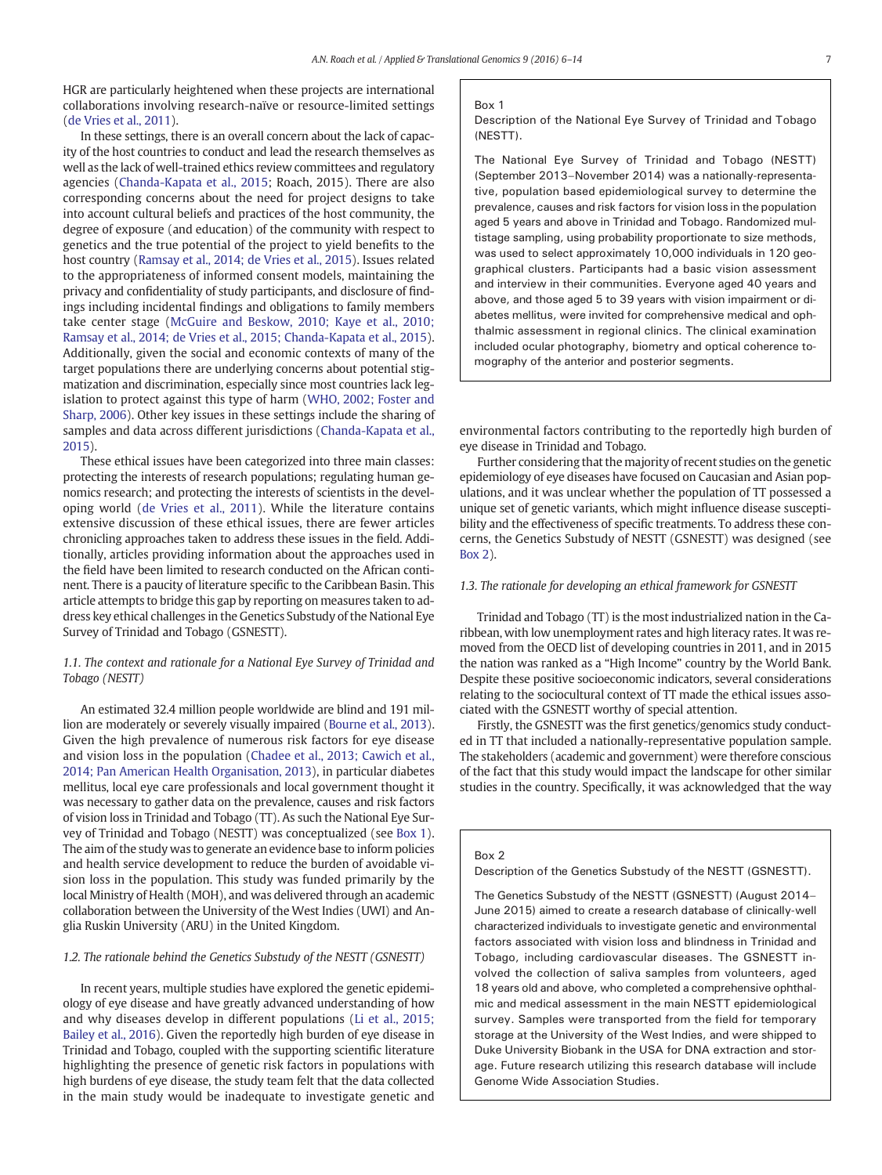HGR are particularly heightened when these projects are international collaborations involving research-naïve or resource-limited settings [\(de Vries et al., 2011](#page-8-0)).

In these settings, there is an overall concern about the lack of capacity of the host countries to conduct and lead the research themselves as well as the lack of well-trained ethics review committees and regulatory agencies ([Chanda-Kapata et al., 2015](#page-8-0); Roach, 2015). There are also corresponding concerns about the need for project designs to take into account cultural beliefs and practices of the host community, the degree of exposure (and education) of the community with respect to genetics and the true potential of the project to yield benefits to the host country ([Ramsay et al., 2014; de Vries et al., 2015\)](#page-8-0). Issues related to the appropriateness of informed consent models, maintaining the privacy and confidentiality of study participants, and disclosure of findings including incidental findings and obligations to family members take center stage [\(McGuire and Beskow, 2010; Kaye et al., 2010;](#page-8-0) [Ramsay et al., 2014; de Vries et al., 2015; Chanda-Kapata et al., 2015](#page-8-0)). Additionally, given the social and economic contexts of many of the target populations there are underlying concerns about potential stigmatization and discrimination, especially since most countries lack legislation to protect against this type of harm ([WHO, 2002; Foster and](#page-8-0) [Sharp, 2006](#page-8-0)). Other key issues in these settings include the sharing of samples and data across different jurisdictions ([Chanda-Kapata et al.,](#page-8-0) [2015](#page-8-0)).

These ethical issues have been categorized into three main classes: protecting the interests of research populations; regulating human genomics research; and protecting the interests of scientists in the developing world [\(de Vries et al., 2011](#page-8-0)). While the literature contains extensive discussion of these ethical issues, there are fewer articles chronicling approaches taken to address these issues in the field. Additionally, articles providing information about the approaches used in the field have been limited to research conducted on the African continent. There is a paucity of literature specific to the Caribbean Basin. This article attempts to bridge this gap by reporting on measures taken to address key ethical challenges in the Genetics Substudy of the National Eye Survey of Trinidad and Tobago (GSNESTT).

# 1.1. The context and rationale for a National Eye Survey of Trinidad and Tobago (NESTT)

An estimated 32.4 million people worldwide are blind and 191 million are moderately or severely visually impaired [\(Bourne et al., 2013](#page-8-0)). Given the high prevalence of numerous risk factors for eye disease and vision loss in the population ([Chadee et al., 2013; Cawich et al.,](#page-8-0) [2014; Pan American Health Organisation, 2013](#page-8-0)), in particular diabetes mellitus, local eye care professionals and local government thought it was necessary to gather data on the prevalence, causes and risk factors of vision loss in Trinidad and Tobago (TT). As such the National Eye Survey of Trinidad and Tobago (NESTT) was conceptualized (see Box 1). The aim of the study was to generate an evidence base to inform policies and health service development to reduce the burden of avoidable vision loss in the population. This study was funded primarily by the local Ministry of Health (MOH), and was delivered through an academic collaboration between the University of the West Indies (UWI) and Anglia Ruskin University (ARU) in the United Kingdom.

### 1.2. The rationale behind the Genetics Substudy of the NESTT (GSNESTT)

In recent years, multiple studies have explored the genetic epidemiology of eye disease and have greatly advanced understanding of how and why diseases develop in different populations ([Li et al., 2015;](#page-8-0) [Bailey et al., 2016](#page-8-0)). Given the reportedly high burden of eye disease in Trinidad and Tobago, coupled with the supporting scientific literature highlighting the presence of genetic risk factors in populations with high burdens of eye disease, the study team felt that the data collected in the main study would be inadequate to investigate genetic and

#### Box 1

Description of the National Eye Survey of Trinidad and Tobago (NESTT).

The National Eye Survey of Trinidad and Tobago (NESTT) (September 2013–November 2014) was a nationally-representative, population based epidemiological survey to determine the prevalence, causes and risk factors for vision loss in the population aged 5 years and above in Trinidad and Tobago. Randomized multistage sampling, using probability proportionate to size methods, was used to select approximately 10,000 individuals in 120 geographical clusters. Participants had a basic vision assessment and interview in their communities. Everyone aged 40 years and above, and those aged 5 to 39 years with vision impairment or diabetes mellitus, were invited for comprehensive medical and ophthalmic assessment in regional clinics. The clinical examination included ocular photography, biometry and optical coherence tomography of the anterior and posterior segments.

environmental factors contributing to the reportedly high burden of eye disease in Trinidad and Tobago.

Further considering that the majority of recent studies on the genetic epidemiology of eye diseases have focused on Caucasian and Asian populations, and it was unclear whether the population of TT possessed a unique set of genetic variants, which might influence disease susceptibility and the effectiveness of specific treatments. To address these concerns, the Genetics Substudy of NESTT (GSNESTT) was designed (see Box 2).

#### 1.3. The rationale for developing an ethical framework for GSNESTT

Trinidad and Tobago (TT) is the most industrialized nation in the Caribbean, with low unemployment rates and high literacy rates. It was removed from the OECD list of developing countries in 2011, and in 2015 the nation was ranked as a "High Income" country by the World Bank. Despite these positive socioeconomic indicators, several considerations relating to the sociocultural context of TT made the ethical issues associated with the GSNESTT worthy of special attention.

Firstly, the GSNESTT was the first genetics/genomics study conducted in TT that included a nationally-representative population sample. The stakeholders (academic and government) were therefore conscious of the fact that this study would impact the landscape for other similar studies in the country. Specifically, it was acknowledged that the way

#### Box 2

Description of the Genetics Substudy of the NESTT (GSNESTT).

The Genetics Substudy of the NESTT (GSNESTT) (August 2014– June 2015) aimed to create a research database of clinically-well characterized individuals to investigate genetic and environmental factors associated with vision loss and blindness in Trinidad and Tobago, including cardiovascular diseases. The GSNESTT involved the collection of saliva samples from volunteers, aged 18 years old and above, who completed a comprehensive ophthalmic and medical assessment in the main NESTT epidemiological survey. Samples were transported from the field for temporary storage at the University of the West Indies, and were shipped to Duke University Biobank in the USA for DNA extraction and storage. Future research utilizing this research database will include Genome Wide Association Studies.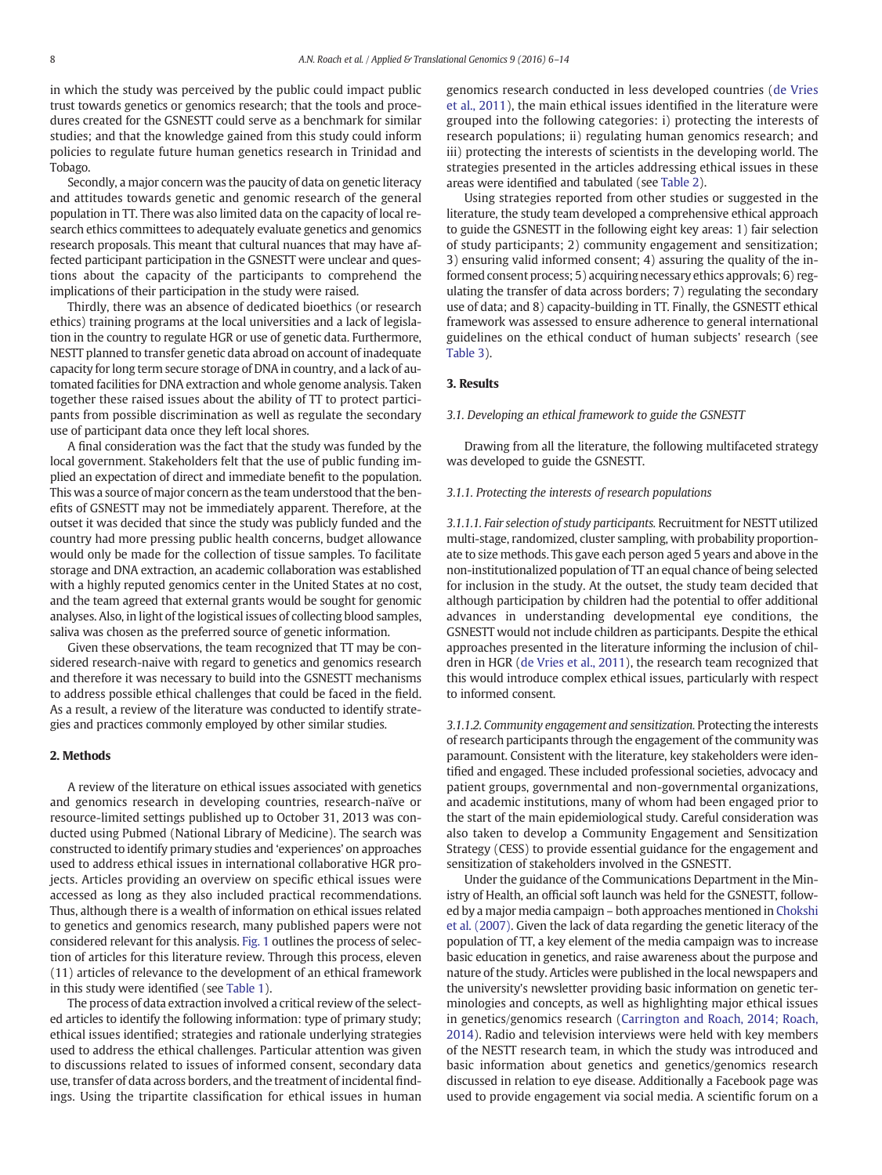in which the study was perceived by the public could impact public trust towards genetics or genomics research; that the tools and procedures created for the GSNESTT could serve as a benchmark for similar studies; and that the knowledge gained from this study could inform policies to regulate future human genetics research in Trinidad and Tobago.

Secondly, a major concern was the paucity of data on genetic literacy and attitudes towards genetic and genomic research of the general population in TT. There was also limited data on the capacity of local research ethics committees to adequately evaluate genetics and genomics research proposals. This meant that cultural nuances that may have affected participant participation in the GSNESTT were unclear and questions about the capacity of the participants to comprehend the implications of their participation in the study were raised.

Thirdly, there was an absence of dedicated bioethics (or research ethics) training programs at the local universities and a lack of legislation in the country to regulate HGR or use of genetic data. Furthermore, NESTT planned to transfer genetic data abroad on account of inadequate capacity for long term secure storage of DNA in country, and a lack of automated facilities for DNA extraction and whole genome analysis. Taken together these raised issues about the ability of TT to protect participants from possible discrimination as well as regulate the secondary use of participant data once they left local shores.

A final consideration was the fact that the study was funded by the local government. Stakeholders felt that the use of public funding implied an expectation of direct and immediate benefit to the population. This was a source of major concern as the team understood that the benefits of GSNESTT may not be immediately apparent. Therefore, at the outset it was decided that since the study was publicly funded and the country had more pressing public health concerns, budget allowance would only be made for the collection of tissue samples. To facilitate storage and DNA extraction, an academic collaboration was established with a highly reputed genomics center in the United States at no cost, and the team agreed that external grants would be sought for genomic analyses. Also, in light of the logistical issues of collecting blood samples, saliva was chosen as the preferred source of genetic information.

Given these observations, the team recognized that TT may be considered research-naive with regard to genetics and genomics research and therefore it was necessary to build into the GSNESTT mechanisms to address possible ethical challenges that could be faced in the field. As a result, a review of the literature was conducted to identify strategies and practices commonly employed by other similar studies.

### 2. Methods

A review of the literature on ethical issues associated with genetics and genomics research in developing countries, research-naïve or resource-limited settings published up to October 31, 2013 was conducted using Pubmed (National Library of Medicine). The search was constructed to identify primary studies and 'experiences' on approaches used to address ethical issues in international collaborative HGR projects. Articles providing an overview on specific ethical issues were accessed as long as they also included practical recommendations. Thus, although there is a wealth of information on ethical issues related to genetics and genomics research, many published papers were not considered relevant for this analysis. [Fig. 1](#page-3-0) outlines the process of selection of articles for this literature review. Through this process, eleven (11) articles of relevance to the development of an ethical framework in this study were identified (see [Table 1\)](#page-3-0).

The process of data extraction involved a critical review of the selected articles to identify the following information: type of primary study; ethical issues identified; strategies and rationale underlying strategies used to address the ethical challenges. Particular attention was given to discussions related to issues of informed consent, secondary data use, transfer of data across borders, and the treatment of incidental findings. Using the tripartite classification for ethical issues in human genomics research conducted in less developed countries [\(de Vries](#page-8-0) [et al., 2011](#page-8-0)), the main ethical issues identified in the literature were grouped into the following categories: i) protecting the interests of research populations; ii) regulating human genomics research; and iii) protecting the interests of scientists in the developing world. The strategies presented in the articles addressing ethical issues in these areas were identified and tabulated (see [Table 2](#page-4-0)).

Using strategies reported from other studies or suggested in the literature, the study team developed a comprehensive ethical approach to guide the GSNESTT in the following eight key areas: 1) fair selection of study participants; 2) community engagement and sensitization; 3) ensuring valid informed consent; 4) assuring the quality of the informed consent process; 5) acquiring necessary ethics approvals; 6) regulating the transfer of data across borders; 7) regulating the secondary use of data; and 8) capacity-building in TT. Finally, the GSNESTT ethical framework was assessed to ensure adherence to general international guidelines on the ethical conduct of human subjects' research (see [Table 3](#page-6-0)).

### 3. Results

#### 3.1. Developing an ethical framework to guide the GSNESTT

Drawing from all the literature, the following multifaceted strategy was developed to guide the GSNESTT.

#### 3.1.1. Protecting the interests of research populations

3.1.1.1. Fair selection of study participants. Recruitment for NESTT utilized multi-stage, randomized, cluster sampling, with probability proportionate to size methods. This gave each person aged 5 years and above in the non-institutionalized population of TT an equal chance of being selected for inclusion in the study. At the outset, the study team decided that although participation by children had the potential to offer additional advances in understanding developmental eye conditions, the GSNESTT would not include children as participants. Despite the ethical approaches presented in the literature informing the inclusion of children in HGR ([de Vries et al., 2011](#page-8-0)), the research team recognized that this would introduce complex ethical issues, particularly with respect to informed consent.

3.1.1.2. Community engagement and sensitization. Protecting the interests of research participants through the engagement of the community was paramount. Consistent with the literature, key stakeholders were identified and engaged. These included professional societies, advocacy and patient groups, governmental and non-governmental organizations, and academic institutions, many of whom had been engaged prior to the start of the main epidemiological study. Careful consideration was also taken to develop a Community Engagement and Sensitization Strategy (CESS) to provide essential guidance for the engagement and sensitization of stakeholders involved in the GSNESTT.

Under the guidance of the Communications Department in the Ministry of Health, an official soft launch was held for the GSNESTT, followed by a major media campaign – both approaches mentioned in [Chokshi](#page-8-0) [et al. \(2007\)](#page-8-0). Given the lack of data regarding the genetic literacy of the population of TT, a key element of the media campaign was to increase basic education in genetics, and raise awareness about the purpose and nature of the study. Articles were published in the local newspapers and the university's newsletter providing basic information on genetic terminologies and concepts, as well as highlighting major ethical issues in genetics/genomics research ([Carrington and Roach, 2014; Roach,](#page-8-0) [2014](#page-8-0)). Radio and television interviews were held with key members of the NESTT research team, in which the study was introduced and basic information about genetics and genetics/genomics research discussed in relation to eye disease. Additionally a Facebook page was used to provide engagement via social media. A scientific forum on a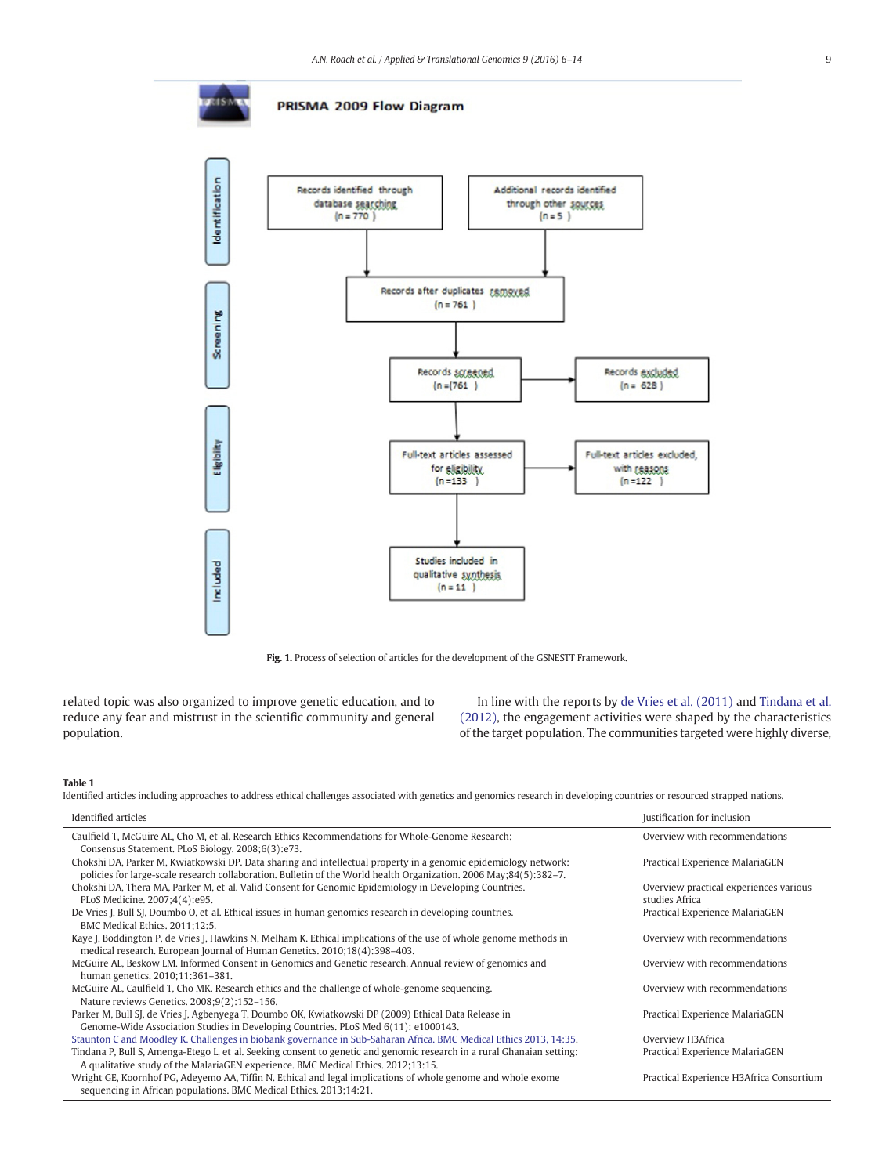<span id="page-3-0"></span>

Fig. 1. Process of selection of articles for the development of the GSNESTT Framework.

related topic was also organized to improve genetic education, and to reduce any fear and mistrust in the scientific community and general population.

In line with the reports by [de Vries et al. \(2011\)](#page-8-0) and [Tindana et al.](#page-8-0) [\(2012\),](#page-8-0) the engagement activities were shaped by the characteristics of the target population. The communities targeted were highly diverse,

#### Table 1

Identified articles including approaches to address ethical challenges associated with genetics and genomics research in developing countries or resourced strapped nations.

| Identified articles                                                                                                                                                                                                                  | Justification for inclusion                              |
|--------------------------------------------------------------------------------------------------------------------------------------------------------------------------------------------------------------------------------------|----------------------------------------------------------|
| Caulfield T, McGuire AL, Cho M, et al. Research Ethics Recommendations for Whole-Genome Research:<br>Consensus Statement. PLoS Biology. 2008;6(3):e73.                                                                               | Overview with recommendations                            |
| Chokshi DA, Parker M, Kwiatkowski DP. Data sharing and intellectual property in a genomic epidemiology network:<br>policies for large-scale research collaboration. Bulletin of the World health Organization. 2006 May;84(5):382-7. | Practical Experience MalariaGEN                          |
| Chokshi DA, Thera MA, Parker M, et al. Valid Consent for Genomic Epidemiology in Developing Countries.<br>PLoS Medicine, 2007;4(4):e95.                                                                                              | Overview practical experiences various<br>studies Africa |
| De Vries J, Bull SJ, Doumbo O, et al. Ethical issues in human genomics research in developing countries.<br>BMC Medical Ethics. 2011:12:5.                                                                                           | Practical Experience MalariaGEN                          |
| Kaye J, Boddington P, de Vries J, Hawkins N, Melham K. Ethical implications of the use of whole genome methods in<br>medical research. European Journal of Human Genetics. 2010;18(4):398-403.                                       | Overview with recommendations                            |
| McGuire AL, Beskow LM, Informed Consent in Genomics and Genetic research, Annual review of genomics and<br>human genetics, 2010;11:361-381.                                                                                          | Overview with recommendations                            |
| McGuire AL, Caulfield T, Cho MK, Research ethics and the challenge of whole-genome sequencing.<br>Nature reviews Genetics. 2008;9(2):152-156.                                                                                        | Overview with recommendations                            |
| Parker M, Bull SJ, de Vries J, Agbenyega T, Doumbo OK, Kwiatkowski DP (2009) Ethical Data Release in<br>Genome-Wide Association Studies in Developing Countries. PLoS Med 6(11): e1000143.                                           | Practical Experience MalariaGEN                          |
| Staunton C and Moodley K. Challenges in biobank governance in Sub-Saharan Africa. BMC Medical Ethics 2013, 14:35.                                                                                                                    | Overview H3Africa                                        |
| Tindana P, Bull S, Amenga-Etego L, et al. Seeking consent to genetic and genomic research in a rural Ghanaian setting:<br>A qualitative study of the MalariaGEN experience. BMC Medical Ethics. 2012;13:15.                          | Practical Experience MalariaGEN                          |
| Wright GE, Koornhof PG, Adeyemo AA, Tiffin N. Ethical and legal implications of whole genome and whole exome<br>sequencing in African populations. BMC Medical Ethics. 2013;14:21.                                                   | Practical Experience H3Africa Consortium                 |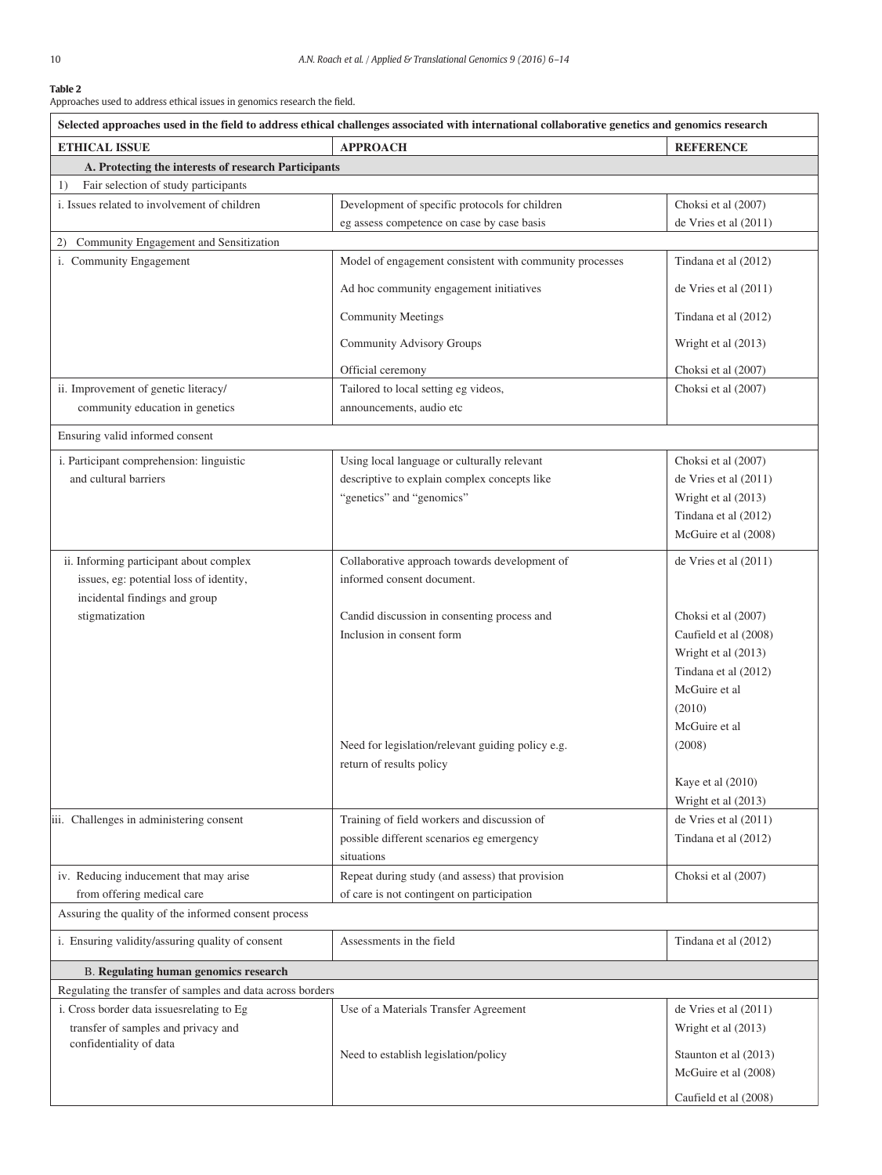# <span id="page-4-0"></span>Table 2

Approaches used to address ethical issues in genomics research the field.

| <b>APPROACH</b><br><b>REFERENCE</b><br><b>ETHICAL ISSUE</b><br>A. Protecting the interests of research Participants<br>Fair selection of study participants<br>1)<br>i. Issues related to involvement of children<br>Development of specific protocols for children<br>Choksi et al (2007)<br>de Vries et al (2011)<br>eg assess competence on case by case basis<br>Community Engagement and Sensitization<br>2)<br>i. Community Engagement<br>Model of engagement consistent with community processes<br>Tindana et al (2012)<br>Ad hoc community engagement initiatives<br>de Vries et al $(2011)$<br><b>Community Meetings</b><br>Tindana et al (2012)<br><b>Community Advisory Groups</b><br>Wright et al (2013)<br>Official ceremony<br>Choksi et al (2007)<br>ii. Improvement of genetic literacy/<br>Tailored to local setting eg videos,<br>Choksi et al (2007)<br>community education in genetics<br>announcements, audio etc<br>Ensuring valid informed consent<br>i. Participant comprehension: linguistic<br>Using local language or culturally relevant<br>Choksi et al (2007)<br>and cultural barriers<br>descriptive to explain complex concepts like<br>de Vries et al (2011)<br>"genetics" and "genomics"<br>Wright et al (2013)<br>Tindana et al (2012)<br>McGuire et al (2008)<br>ii. Informing participant about complex<br>Collaborative approach towards development of<br>de Vries et al (2011)<br>issues, eg: potential loss of identity,<br>informed consent document.<br>incidental findings and group<br>stigmatization<br>Candid discussion in consenting process and<br>Choksi et al (2007)<br>Inclusion in consent form<br>Caufield et al (2008)<br>Wright et al (2013)<br>Tindana et al (2012)<br>McGuire et al<br>(2010)<br>McGuire et al<br>Need for legislation/relevant guiding policy e.g.<br>(2008)<br>return of results policy<br>Kaye et al (2010)<br>Wright et al (2013)<br>de Vries et al (2011)<br>iii. Challenges in administering consent<br>Training of field workers and discussion of<br>possible different scenarios eg emergency<br>Tindana et al (2012)<br>situations<br>Repeat during study (and assess) that provision<br>iv. Reducing inducement that may arise<br>Choksi et al (2007)<br>from offering medical care<br>of care is not contingent on participation<br>Assuring the quality of the informed consent process<br>i. Ensuring validity/assuring quality of consent<br>Assessments in the field<br>Tindana et al (2012)<br><b>B.</b> Regulating human genomics research | Selected approaches used in the field to address ethical challenges associated with international collaborative genetics and genomics research |  |  |  |  |  |
|------------------------------------------------------------------------------------------------------------------------------------------------------------------------------------------------------------------------------------------------------------------------------------------------------------------------------------------------------------------------------------------------------------------------------------------------------------------------------------------------------------------------------------------------------------------------------------------------------------------------------------------------------------------------------------------------------------------------------------------------------------------------------------------------------------------------------------------------------------------------------------------------------------------------------------------------------------------------------------------------------------------------------------------------------------------------------------------------------------------------------------------------------------------------------------------------------------------------------------------------------------------------------------------------------------------------------------------------------------------------------------------------------------------------------------------------------------------------------------------------------------------------------------------------------------------------------------------------------------------------------------------------------------------------------------------------------------------------------------------------------------------------------------------------------------------------------------------------------------------------------------------------------------------------------------------------------------------------------------------------------------------------------------------------------------------------------------------------------------------------------------------------------------------------------------------------------------------------------------------------------------------------------------------------------------------------------------------------------------------------------------------------------------------------------------------------------------------------------------------------------------------------------------------|------------------------------------------------------------------------------------------------------------------------------------------------|--|--|--|--|--|
|                                                                                                                                                                                                                                                                                                                                                                                                                                                                                                                                                                                                                                                                                                                                                                                                                                                                                                                                                                                                                                                                                                                                                                                                                                                                                                                                                                                                                                                                                                                                                                                                                                                                                                                                                                                                                                                                                                                                                                                                                                                                                                                                                                                                                                                                                                                                                                                                                                                                                                                                          |                                                                                                                                                |  |  |  |  |  |
|                                                                                                                                                                                                                                                                                                                                                                                                                                                                                                                                                                                                                                                                                                                                                                                                                                                                                                                                                                                                                                                                                                                                                                                                                                                                                                                                                                                                                                                                                                                                                                                                                                                                                                                                                                                                                                                                                                                                                                                                                                                                                                                                                                                                                                                                                                                                                                                                                                                                                                                                          |                                                                                                                                                |  |  |  |  |  |
|                                                                                                                                                                                                                                                                                                                                                                                                                                                                                                                                                                                                                                                                                                                                                                                                                                                                                                                                                                                                                                                                                                                                                                                                                                                                                                                                                                                                                                                                                                                                                                                                                                                                                                                                                                                                                                                                                                                                                                                                                                                                                                                                                                                                                                                                                                                                                                                                                                                                                                                                          |                                                                                                                                                |  |  |  |  |  |
|                                                                                                                                                                                                                                                                                                                                                                                                                                                                                                                                                                                                                                                                                                                                                                                                                                                                                                                                                                                                                                                                                                                                                                                                                                                                                                                                                                                                                                                                                                                                                                                                                                                                                                                                                                                                                                                                                                                                                                                                                                                                                                                                                                                                                                                                                                                                                                                                                                                                                                                                          |                                                                                                                                                |  |  |  |  |  |
|                                                                                                                                                                                                                                                                                                                                                                                                                                                                                                                                                                                                                                                                                                                                                                                                                                                                                                                                                                                                                                                                                                                                                                                                                                                                                                                                                                                                                                                                                                                                                                                                                                                                                                                                                                                                                                                                                                                                                                                                                                                                                                                                                                                                                                                                                                                                                                                                                                                                                                                                          |                                                                                                                                                |  |  |  |  |  |
|                                                                                                                                                                                                                                                                                                                                                                                                                                                                                                                                                                                                                                                                                                                                                                                                                                                                                                                                                                                                                                                                                                                                                                                                                                                                                                                                                                                                                                                                                                                                                                                                                                                                                                                                                                                                                                                                                                                                                                                                                                                                                                                                                                                                                                                                                                                                                                                                                                                                                                                                          |                                                                                                                                                |  |  |  |  |  |
|                                                                                                                                                                                                                                                                                                                                                                                                                                                                                                                                                                                                                                                                                                                                                                                                                                                                                                                                                                                                                                                                                                                                                                                                                                                                                                                                                                                                                                                                                                                                                                                                                                                                                                                                                                                                                                                                                                                                                                                                                                                                                                                                                                                                                                                                                                                                                                                                                                                                                                                                          |                                                                                                                                                |  |  |  |  |  |
|                                                                                                                                                                                                                                                                                                                                                                                                                                                                                                                                                                                                                                                                                                                                                                                                                                                                                                                                                                                                                                                                                                                                                                                                                                                                                                                                                                                                                                                                                                                                                                                                                                                                                                                                                                                                                                                                                                                                                                                                                                                                                                                                                                                                                                                                                                                                                                                                                                                                                                                                          |                                                                                                                                                |  |  |  |  |  |
|                                                                                                                                                                                                                                                                                                                                                                                                                                                                                                                                                                                                                                                                                                                                                                                                                                                                                                                                                                                                                                                                                                                                                                                                                                                                                                                                                                                                                                                                                                                                                                                                                                                                                                                                                                                                                                                                                                                                                                                                                                                                                                                                                                                                                                                                                                                                                                                                                                                                                                                                          |                                                                                                                                                |  |  |  |  |  |
|                                                                                                                                                                                                                                                                                                                                                                                                                                                                                                                                                                                                                                                                                                                                                                                                                                                                                                                                                                                                                                                                                                                                                                                                                                                                                                                                                                                                                                                                                                                                                                                                                                                                                                                                                                                                                                                                                                                                                                                                                                                                                                                                                                                                                                                                                                                                                                                                                                                                                                                                          |                                                                                                                                                |  |  |  |  |  |
|                                                                                                                                                                                                                                                                                                                                                                                                                                                                                                                                                                                                                                                                                                                                                                                                                                                                                                                                                                                                                                                                                                                                                                                                                                                                                                                                                                                                                                                                                                                                                                                                                                                                                                                                                                                                                                                                                                                                                                                                                                                                                                                                                                                                                                                                                                                                                                                                                                                                                                                                          |                                                                                                                                                |  |  |  |  |  |
|                                                                                                                                                                                                                                                                                                                                                                                                                                                                                                                                                                                                                                                                                                                                                                                                                                                                                                                                                                                                                                                                                                                                                                                                                                                                                                                                                                                                                                                                                                                                                                                                                                                                                                                                                                                                                                                                                                                                                                                                                                                                                                                                                                                                                                                                                                                                                                                                                                                                                                                                          |                                                                                                                                                |  |  |  |  |  |
|                                                                                                                                                                                                                                                                                                                                                                                                                                                                                                                                                                                                                                                                                                                                                                                                                                                                                                                                                                                                                                                                                                                                                                                                                                                                                                                                                                                                                                                                                                                                                                                                                                                                                                                                                                                                                                                                                                                                                                                                                                                                                                                                                                                                                                                                                                                                                                                                                                                                                                                                          |                                                                                                                                                |  |  |  |  |  |
|                                                                                                                                                                                                                                                                                                                                                                                                                                                                                                                                                                                                                                                                                                                                                                                                                                                                                                                                                                                                                                                                                                                                                                                                                                                                                                                                                                                                                                                                                                                                                                                                                                                                                                                                                                                                                                                                                                                                                                                                                                                                                                                                                                                                                                                                                                                                                                                                                                                                                                                                          |                                                                                                                                                |  |  |  |  |  |
|                                                                                                                                                                                                                                                                                                                                                                                                                                                                                                                                                                                                                                                                                                                                                                                                                                                                                                                                                                                                                                                                                                                                                                                                                                                                                                                                                                                                                                                                                                                                                                                                                                                                                                                                                                                                                                                                                                                                                                                                                                                                                                                                                                                                                                                                                                                                                                                                                                                                                                                                          |                                                                                                                                                |  |  |  |  |  |
|                                                                                                                                                                                                                                                                                                                                                                                                                                                                                                                                                                                                                                                                                                                                                                                                                                                                                                                                                                                                                                                                                                                                                                                                                                                                                                                                                                                                                                                                                                                                                                                                                                                                                                                                                                                                                                                                                                                                                                                                                                                                                                                                                                                                                                                                                                                                                                                                                                                                                                                                          |                                                                                                                                                |  |  |  |  |  |
|                                                                                                                                                                                                                                                                                                                                                                                                                                                                                                                                                                                                                                                                                                                                                                                                                                                                                                                                                                                                                                                                                                                                                                                                                                                                                                                                                                                                                                                                                                                                                                                                                                                                                                                                                                                                                                                                                                                                                                                                                                                                                                                                                                                                                                                                                                                                                                                                                                                                                                                                          |                                                                                                                                                |  |  |  |  |  |
|                                                                                                                                                                                                                                                                                                                                                                                                                                                                                                                                                                                                                                                                                                                                                                                                                                                                                                                                                                                                                                                                                                                                                                                                                                                                                                                                                                                                                                                                                                                                                                                                                                                                                                                                                                                                                                                                                                                                                                                                                                                                                                                                                                                                                                                                                                                                                                                                                                                                                                                                          |                                                                                                                                                |  |  |  |  |  |
|                                                                                                                                                                                                                                                                                                                                                                                                                                                                                                                                                                                                                                                                                                                                                                                                                                                                                                                                                                                                                                                                                                                                                                                                                                                                                                                                                                                                                                                                                                                                                                                                                                                                                                                                                                                                                                                                                                                                                                                                                                                                                                                                                                                                                                                                                                                                                                                                                                                                                                                                          |                                                                                                                                                |  |  |  |  |  |
|                                                                                                                                                                                                                                                                                                                                                                                                                                                                                                                                                                                                                                                                                                                                                                                                                                                                                                                                                                                                                                                                                                                                                                                                                                                                                                                                                                                                                                                                                                                                                                                                                                                                                                                                                                                                                                                                                                                                                                                                                                                                                                                                                                                                                                                                                                                                                                                                                                                                                                                                          |                                                                                                                                                |  |  |  |  |  |
|                                                                                                                                                                                                                                                                                                                                                                                                                                                                                                                                                                                                                                                                                                                                                                                                                                                                                                                                                                                                                                                                                                                                                                                                                                                                                                                                                                                                                                                                                                                                                                                                                                                                                                                                                                                                                                                                                                                                                                                                                                                                                                                                                                                                                                                                                                                                                                                                                                                                                                                                          |                                                                                                                                                |  |  |  |  |  |
|                                                                                                                                                                                                                                                                                                                                                                                                                                                                                                                                                                                                                                                                                                                                                                                                                                                                                                                                                                                                                                                                                                                                                                                                                                                                                                                                                                                                                                                                                                                                                                                                                                                                                                                                                                                                                                                                                                                                                                                                                                                                                                                                                                                                                                                                                                                                                                                                                                                                                                                                          |                                                                                                                                                |  |  |  |  |  |
|                                                                                                                                                                                                                                                                                                                                                                                                                                                                                                                                                                                                                                                                                                                                                                                                                                                                                                                                                                                                                                                                                                                                                                                                                                                                                                                                                                                                                                                                                                                                                                                                                                                                                                                                                                                                                                                                                                                                                                                                                                                                                                                                                                                                                                                                                                                                                                                                                                                                                                                                          |                                                                                                                                                |  |  |  |  |  |
|                                                                                                                                                                                                                                                                                                                                                                                                                                                                                                                                                                                                                                                                                                                                                                                                                                                                                                                                                                                                                                                                                                                                                                                                                                                                                                                                                                                                                                                                                                                                                                                                                                                                                                                                                                                                                                                                                                                                                                                                                                                                                                                                                                                                                                                                                                                                                                                                                                                                                                                                          |                                                                                                                                                |  |  |  |  |  |
|                                                                                                                                                                                                                                                                                                                                                                                                                                                                                                                                                                                                                                                                                                                                                                                                                                                                                                                                                                                                                                                                                                                                                                                                                                                                                                                                                                                                                                                                                                                                                                                                                                                                                                                                                                                                                                                                                                                                                                                                                                                                                                                                                                                                                                                                                                                                                                                                                                                                                                                                          |                                                                                                                                                |  |  |  |  |  |
|                                                                                                                                                                                                                                                                                                                                                                                                                                                                                                                                                                                                                                                                                                                                                                                                                                                                                                                                                                                                                                                                                                                                                                                                                                                                                                                                                                                                                                                                                                                                                                                                                                                                                                                                                                                                                                                                                                                                                                                                                                                                                                                                                                                                                                                                                                                                                                                                                                                                                                                                          |                                                                                                                                                |  |  |  |  |  |
|                                                                                                                                                                                                                                                                                                                                                                                                                                                                                                                                                                                                                                                                                                                                                                                                                                                                                                                                                                                                                                                                                                                                                                                                                                                                                                                                                                                                                                                                                                                                                                                                                                                                                                                                                                                                                                                                                                                                                                                                                                                                                                                                                                                                                                                                                                                                                                                                                                                                                                                                          |                                                                                                                                                |  |  |  |  |  |
|                                                                                                                                                                                                                                                                                                                                                                                                                                                                                                                                                                                                                                                                                                                                                                                                                                                                                                                                                                                                                                                                                                                                                                                                                                                                                                                                                                                                                                                                                                                                                                                                                                                                                                                                                                                                                                                                                                                                                                                                                                                                                                                                                                                                                                                                                                                                                                                                                                                                                                                                          |                                                                                                                                                |  |  |  |  |  |
|                                                                                                                                                                                                                                                                                                                                                                                                                                                                                                                                                                                                                                                                                                                                                                                                                                                                                                                                                                                                                                                                                                                                                                                                                                                                                                                                                                                                                                                                                                                                                                                                                                                                                                                                                                                                                                                                                                                                                                                                                                                                                                                                                                                                                                                                                                                                                                                                                                                                                                                                          |                                                                                                                                                |  |  |  |  |  |
|                                                                                                                                                                                                                                                                                                                                                                                                                                                                                                                                                                                                                                                                                                                                                                                                                                                                                                                                                                                                                                                                                                                                                                                                                                                                                                                                                                                                                                                                                                                                                                                                                                                                                                                                                                                                                                                                                                                                                                                                                                                                                                                                                                                                                                                                                                                                                                                                                                                                                                                                          |                                                                                                                                                |  |  |  |  |  |
|                                                                                                                                                                                                                                                                                                                                                                                                                                                                                                                                                                                                                                                                                                                                                                                                                                                                                                                                                                                                                                                                                                                                                                                                                                                                                                                                                                                                                                                                                                                                                                                                                                                                                                                                                                                                                                                                                                                                                                                                                                                                                                                                                                                                                                                                                                                                                                                                                                                                                                                                          |                                                                                                                                                |  |  |  |  |  |
|                                                                                                                                                                                                                                                                                                                                                                                                                                                                                                                                                                                                                                                                                                                                                                                                                                                                                                                                                                                                                                                                                                                                                                                                                                                                                                                                                                                                                                                                                                                                                                                                                                                                                                                                                                                                                                                                                                                                                                                                                                                                                                                                                                                                                                                                                                                                                                                                                                                                                                                                          |                                                                                                                                                |  |  |  |  |  |
|                                                                                                                                                                                                                                                                                                                                                                                                                                                                                                                                                                                                                                                                                                                                                                                                                                                                                                                                                                                                                                                                                                                                                                                                                                                                                                                                                                                                                                                                                                                                                                                                                                                                                                                                                                                                                                                                                                                                                                                                                                                                                                                                                                                                                                                                                                                                                                                                                                                                                                                                          |                                                                                                                                                |  |  |  |  |  |
|                                                                                                                                                                                                                                                                                                                                                                                                                                                                                                                                                                                                                                                                                                                                                                                                                                                                                                                                                                                                                                                                                                                                                                                                                                                                                                                                                                                                                                                                                                                                                                                                                                                                                                                                                                                                                                                                                                                                                                                                                                                                                                                                                                                                                                                                                                                                                                                                                                                                                                                                          |                                                                                                                                                |  |  |  |  |  |
|                                                                                                                                                                                                                                                                                                                                                                                                                                                                                                                                                                                                                                                                                                                                                                                                                                                                                                                                                                                                                                                                                                                                                                                                                                                                                                                                                                                                                                                                                                                                                                                                                                                                                                                                                                                                                                                                                                                                                                                                                                                                                                                                                                                                                                                                                                                                                                                                                                                                                                                                          |                                                                                                                                                |  |  |  |  |  |
|                                                                                                                                                                                                                                                                                                                                                                                                                                                                                                                                                                                                                                                                                                                                                                                                                                                                                                                                                                                                                                                                                                                                                                                                                                                                                                                                                                                                                                                                                                                                                                                                                                                                                                                                                                                                                                                                                                                                                                                                                                                                                                                                                                                                                                                                                                                                                                                                                                                                                                                                          |                                                                                                                                                |  |  |  |  |  |
|                                                                                                                                                                                                                                                                                                                                                                                                                                                                                                                                                                                                                                                                                                                                                                                                                                                                                                                                                                                                                                                                                                                                                                                                                                                                                                                                                                                                                                                                                                                                                                                                                                                                                                                                                                                                                                                                                                                                                                                                                                                                                                                                                                                                                                                                                                                                                                                                                                                                                                                                          |                                                                                                                                                |  |  |  |  |  |
|                                                                                                                                                                                                                                                                                                                                                                                                                                                                                                                                                                                                                                                                                                                                                                                                                                                                                                                                                                                                                                                                                                                                                                                                                                                                                                                                                                                                                                                                                                                                                                                                                                                                                                                                                                                                                                                                                                                                                                                                                                                                                                                                                                                                                                                                                                                                                                                                                                                                                                                                          |                                                                                                                                                |  |  |  |  |  |
|                                                                                                                                                                                                                                                                                                                                                                                                                                                                                                                                                                                                                                                                                                                                                                                                                                                                                                                                                                                                                                                                                                                                                                                                                                                                                                                                                                                                                                                                                                                                                                                                                                                                                                                                                                                                                                                                                                                                                                                                                                                                                                                                                                                                                                                                                                                                                                                                                                                                                                                                          |                                                                                                                                                |  |  |  |  |  |
|                                                                                                                                                                                                                                                                                                                                                                                                                                                                                                                                                                                                                                                                                                                                                                                                                                                                                                                                                                                                                                                                                                                                                                                                                                                                                                                                                                                                                                                                                                                                                                                                                                                                                                                                                                                                                                                                                                                                                                                                                                                                                                                                                                                                                                                                                                                                                                                                                                                                                                                                          |                                                                                                                                                |  |  |  |  |  |
|                                                                                                                                                                                                                                                                                                                                                                                                                                                                                                                                                                                                                                                                                                                                                                                                                                                                                                                                                                                                                                                                                                                                                                                                                                                                                                                                                                                                                                                                                                                                                                                                                                                                                                                                                                                                                                                                                                                                                                                                                                                                                                                                                                                                                                                                                                                                                                                                                                                                                                                                          |                                                                                                                                                |  |  |  |  |  |
|                                                                                                                                                                                                                                                                                                                                                                                                                                                                                                                                                                                                                                                                                                                                                                                                                                                                                                                                                                                                                                                                                                                                                                                                                                                                                                                                                                                                                                                                                                                                                                                                                                                                                                                                                                                                                                                                                                                                                                                                                                                                                                                                                                                                                                                                                                                                                                                                                                                                                                                                          |                                                                                                                                                |  |  |  |  |  |
| Regulating the transfer of samples and data across borders                                                                                                                                                                                                                                                                                                                                                                                                                                                                                                                                                                                                                                                                                                                                                                                                                                                                                                                                                                                                                                                                                                                                                                                                                                                                                                                                                                                                                                                                                                                                                                                                                                                                                                                                                                                                                                                                                                                                                                                                                                                                                                                                                                                                                                                                                                                                                                                                                                                                               |                                                                                                                                                |  |  |  |  |  |
| i. Cross border data issuesrelating to Eg<br>de Vries et al (2011)<br>Use of a Materials Transfer Agreement                                                                                                                                                                                                                                                                                                                                                                                                                                                                                                                                                                                                                                                                                                                                                                                                                                                                                                                                                                                                                                                                                                                                                                                                                                                                                                                                                                                                                                                                                                                                                                                                                                                                                                                                                                                                                                                                                                                                                                                                                                                                                                                                                                                                                                                                                                                                                                                                                              |                                                                                                                                                |  |  |  |  |  |
| transfer of samples and privacy and<br>Wright et al (2013)                                                                                                                                                                                                                                                                                                                                                                                                                                                                                                                                                                                                                                                                                                                                                                                                                                                                                                                                                                                                                                                                                                                                                                                                                                                                                                                                                                                                                                                                                                                                                                                                                                                                                                                                                                                                                                                                                                                                                                                                                                                                                                                                                                                                                                                                                                                                                                                                                                                                               |                                                                                                                                                |  |  |  |  |  |
| confidentiality of data<br>Need to establish legislation/policy<br>Staunton et al (2013)                                                                                                                                                                                                                                                                                                                                                                                                                                                                                                                                                                                                                                                                                                                                                                                                                                                                                                                                                                                                                                                                                                                                                                                                                                                                                                                                                                                                                                                                                                                                                                                                                                                                                                                                                                                                                                                                                                                                                                                                                                                                                                                                                                                                                                                                                                                                                                                                                                                 |                                                                                                                                                |  |  |  |  |  |
| McGuire et al (2008)                                                                                                                                                                                                                                                                                                                                                                                                                                                                                                                                                                                                                                                                                                                                                                                                                                                                                                                                                                                                                                                                                                                                                                                                                                                                                                                                                                                                                                                                                                                                                                                                                                                                                                                                                                                                                                                                                                                                                                                                                                                                                                                                                                                                                                                                                                                                                                                                                                                                                                                     |                                                                                                                                                |  |  |  |  |  |
| Caufield et al (2008)                                                                                                                                                                                                                                                                                                                                                                                                                                                                                                                                                                                                                                                                                                                                                                                                                                                                                                                                                                                                                                                                                                                                                                                                                                                                                                                                                                                                                                                                                                                                                                                                                                                                                                                                                                                                                                                                                                                                                                                                                                                                                                                                                                                                                                                                                                                                                                                                                                                                                                                    |                                                                                                                                                |  |  |  |  |  |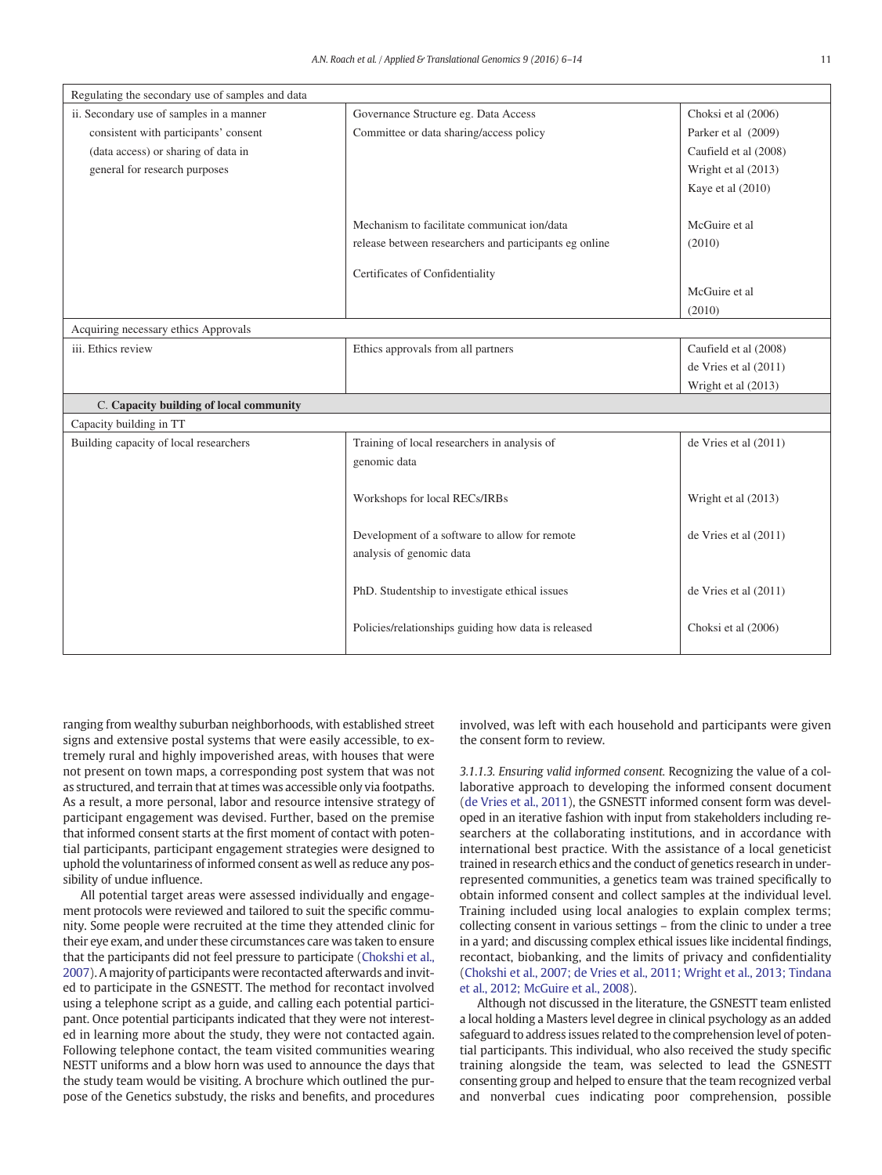| Regulating the secondary use of samples and data |                                                        |                       |  |  |
|--------------------------------------------------|--------------------------------------------------------|-----------------------|--|--|
| ii. Secondary use of samples in a manner         | Governance Structure eg. Data Access                   | Choksi et al (2006)   |  |  |
| consistent with participants' consent            | Committee or data sharing/access policy                | Parker et al (2009)   |  |  |
| (data access) or sharing of data in              |                                                        | Caufield et al (2008) |  |  |
| general for research purposes                    |                                                        | Wright et al (2013)   |  |  |
|                                                  |                                                        | Kaye et al (2010)     |  |  |
|                                                  |                                                        |                       |  |  |
|                                                  | Mechanism to facilitate communicat ion/data            | McGuire et al         |  |  |
|                                                  | release between researchers and participants eg online | (2010)                |  |  |
|                                                  | Certificates of Confidentiality                        |                       |  |  |
|                                                  |                                                        | McGuire et al         |  |  |
|                                                  |                                                        | (2010)                |  |  |
| Acquiring necessary ethics Approvals             |                                                        |                       |  |  |
| iii. Ethics review                               | Ethics approvals from all partners                     | Caufield et al (2008) |  |  |
|                                                  |                                                        | de Vries et al (2011) |  |  |
|                                                  |                                                        | Wright et al (2013)   |  |  |
| C. Capacity building of local community          |                                                        |                       |  |  |
| Capacity building in TT                          |                                                        |                       |  |  |
| Building capacity of local researchers           | Training of local researchers in analysis of           | de Vries et al (2011) |  |  |
|                                                  | genomic data                                           |                       |  |  |
|                                                  |                                                        |                       |  |  |
|                                                  | Workshops for local RECs/IRBs                          | Wright et al (2013)   |  |  |
|                                                  | Development of a software to allow for remote          | de Vries et al (2011) |  |  |
|                                                  | analysis of genomic data                               |                       |  |  |
|                                                  |                                                        |                       |  |  |
|                                                  | PhD. Studentship to investigate ethical issues         | de Vries et al (2011) |  |  |
|                                                  | Policies/relationships guiding how data is released    | Choksi et al (2006)   |  |  |

ranging from wealthy suburban neighborhoods, with established street signs and extensive postal systems that were easily accessible, to extremely rural and highly impoverished areas, with houses that were not present on town maps, a corresponding post system that was not as structured, and terrain that at times was accessible only via footpaths. As a result, a more personal, labor and resource intensive strategy of participant engagement was devised. Further, based on the premise that informed consent starts at the first moment of contact with potential participants, participant engagement strategies were designed to uphold the voluntariness of informed consent as well as reduce any possibility of undue influence.

All potential target areas were assessed individually and engagement protocols were reviewed and tailored to suit the specific community. Some people were recruited at the time they attended clinic for their eye exam, and under these circumstances care was taken to ensure that the participants did not feel pressure to participate [\(Chokshi et al.,](#page-8-0) [2007](#page-8-0)). A majority of participants were recontacted afterwards and invited to participate in the GSNESTT. The method for recontact involved using a telephone script as a guide, and calling each potential participant. Once potential participants indicated that they were not interested in learning more about the study, they were not contacted again. Following telephone contact, the team visited communities wearing NESTT uniforms and a blow horn was used to announce the days that the study team would be visiting. A brochure which outlined the purpose of the Genetics substudy, the risks and benefits, and procedures

involved, was left with each household and participants were given the consent form to review.

3.1.1.3. Ensuring valid informed consent. Recognizing the value of a collaborative approach to developing the informed consent document [\(de Vries et al., 2011\)](#page-8-0), the GSNESTT informed consent form was developed in an iterative fashion with input from stakeholders including researchers at the collaborating institutions, and in accordance with international best practice. With the assistance of a local geneticist trained in research ethics and the conduct of genetics research in underrepresented communities, a genetics team was trained specifically to obtain informed consent and collect samples at the individual level. Training included using local analogies to explain complex terms; collecting consent in various settings – from the clinic to under a tree in a yard; and discussing complex ethical issues like incidental findings, recontact, biobanking, and the limits of privacy and confidentiality [\(Chokshi et al., 2007; de Vries et al., 2011; Wright et al., 2013; Tindana](#page-8-0) [et al., 2012; McGuire et al., 2008\)](#page-8-0).

Although not discussed in the literature, the GSNESTT team enlisted a local holding a Masters level degree in clinical psychology as an added safeguard to address issues related to the comprehension level of potential participants. This individual, who also received the study specific training alongside the team, was selected to lead the GSNESTT consenting group and helped to ensure that the team recognized verbal and nonverbal cues indicating poor comprehension, possible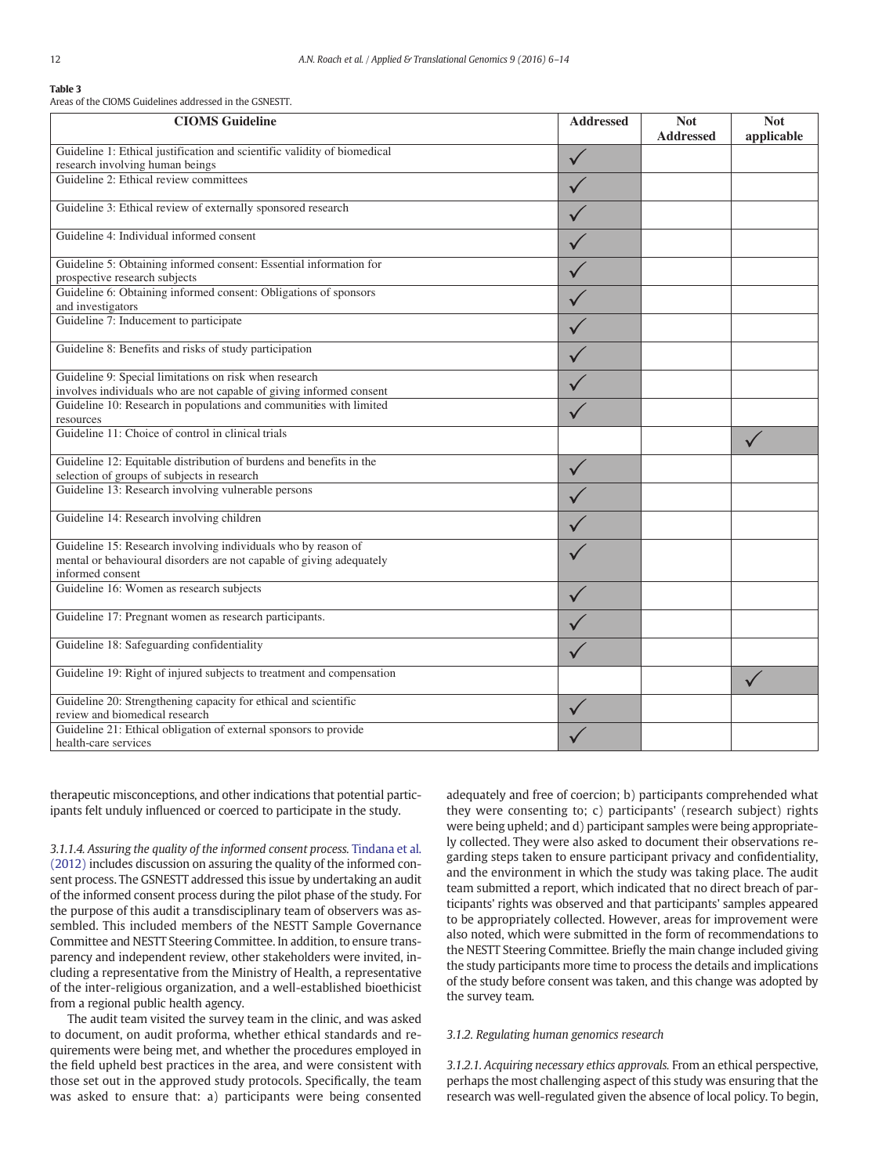#### <span id="page-6-0"></span>Table 3

Areas of the CIOMS Guidelines addressed in the GSNESTT.

| <b>CIOMS</b> Guideline                                                                                                                                    | <b>Addressed</b> | <b>Not</b><br><b>Addressed</b> | <b>Not</b><br>applicable |
|-----------------------------------------------------------------------------------------------------------------------------------------------------------|------------------|--------------------------------|--------------------------|
| Guideline 1: Ethical justification and scientific validity of biomedical                                                                                  |                  |                                |                          |
| research involving human beings                                                                                                                           |                  |                                |                          |
| Guideline 2: Ethical review committees                                                                                                                    |                  |                                |                          |
| Guideline 3: Ethical review of externally sponsored research                                                                                              |                  |                                |                          |
| Guideline 4: Individual informed consent                                                                                                                  |                  |                                |                          |
| Guideline 5: Obtaining informed consent: Essential information for<br>prospective research subjects                                                       |                  |                                |                          |
| Guideline 6: Obtaining informed consent: Obligations of sponsors                                                                                          |                  |                                |                          |
| and investigators                                                                                                                                         |                  |                                |                          |
| Guideline 7: Inducement to participate                                                                                                                    |                  |                                |                          |
| Guideline 8: Benefits and risks of study participation                                                                                                    |                  |                                |                          |
| Guideline 9: Special limitations on risk when research                                                                                                    |                  |                                |                          |
| involves individuals who are not capable of giving informed consent                                                                                       |                  |                                |                          |
| Guideline 10: Research in populations and communities with limited                                                                                        |                  |                                |                          |
| resources                                                                                                                                                 |                  |                                |                          |
| Guideline 11: Choice of control in clinical trials                                                                                                        |                  |                                |                          |
| Guideline 12: Equitable distribution of burdens and benefits in the                                                                                       |                  |                                |                          |
| selection of groups of subjects in research                                                                                                               |                  |                                |                          |
| Guideline 13: Research involving vulnerable persons                                                                                                       |                  |                                |                          |
| Guideline 14: Research involving children                                                                                                                 |                  |                                |                          |
| Guideline 15: Research involving individuals who by reason of<br>mental or behavioural disorders are not capable of giving adequately<br>informed consent |                  |                                |                          |
| Guideline 16: Women as research subjects                                                                                                                  |                  |                                |                          |
| Guideline 17: Pregnant women as research participants.                                                                                                    |                  |                                |                          |
| Guideline 18: Safeguarding confidentiality                                                                                                                |                  |                                |                          |
| Guideline 19: Right of injured subjects to treatment and compensation                                                                                     |                  |                                |                          |
| Guideline 20: Strengthening capacity for ethical and scientific<br>review and biomedical research                                                         |                  |                                |                          |
| Guideline 21: Ethical obligation of external sponsors to provide<br>health-care services                                                                  |                  |                                |                          |

therapeutic misconceptions, and other indications that potential participants felt unduly influenced or coerced to participate in the study.

3.1.1.4. Assuring the quality of the informed consent process. [Tindana et al.](#page-8-0) [\(2012\)](#page-8-0) includes discussion on assuring the quality of the informed consent process. The GSNESTT addressed this issue by undertaking an audit of the informed consent process during the pilot phase of the study. For the purpose of this audit a transdisciplinary team of observers was assembled. This included members of the NESTT Sample Governance Committee and NESTT Steering Committee. In addition, to ensure transparency and independent review, other stakeholders were invited, including a representative from the Ministry of Health, a representative of the inter-religious organization, and a well-established bioethicist from a regional public health agency.

The audit team visited the survey team in the clinic, and was asked to document, on audit proforma, whether ethical standards and requirements were being met, and whether the procedures employed in the field upheld best practices in the area, and were consistent with those set out in the approved study protocols. Specifically, the team was asked to ensure that: a) participants were being consented adequately and free of coercion; b) participants comprehended what they were consenting to; c) participants' (research subject) rights were being upheld; and d) participant samples were being appropriately collected. They were also asked to document their observations regarding steps taken to ensure participant privacy and confidentiality, and the environment in which the study was taking place. The audit team submitted a report, which indicated that no direct breach of participants' rights was observed and that participants' samples appeared to be appropriately collected. However, areas for improvement were also noted, which were submitted in the form of recommendations to the NESTT Steering Committee. Briefly the main change included giving the study participants more time to process the details and implications of the study before consent was taken, and this change was adopted by the survey team.

# 3.1.2. Regulating human genomics research

3.1.2.1. Acquiring necessary ethics approvals. From an ethical perspective, perhaps the most challenging aspect of this study was ensuring that the research was well-regulated given the absence of local policy. To begin,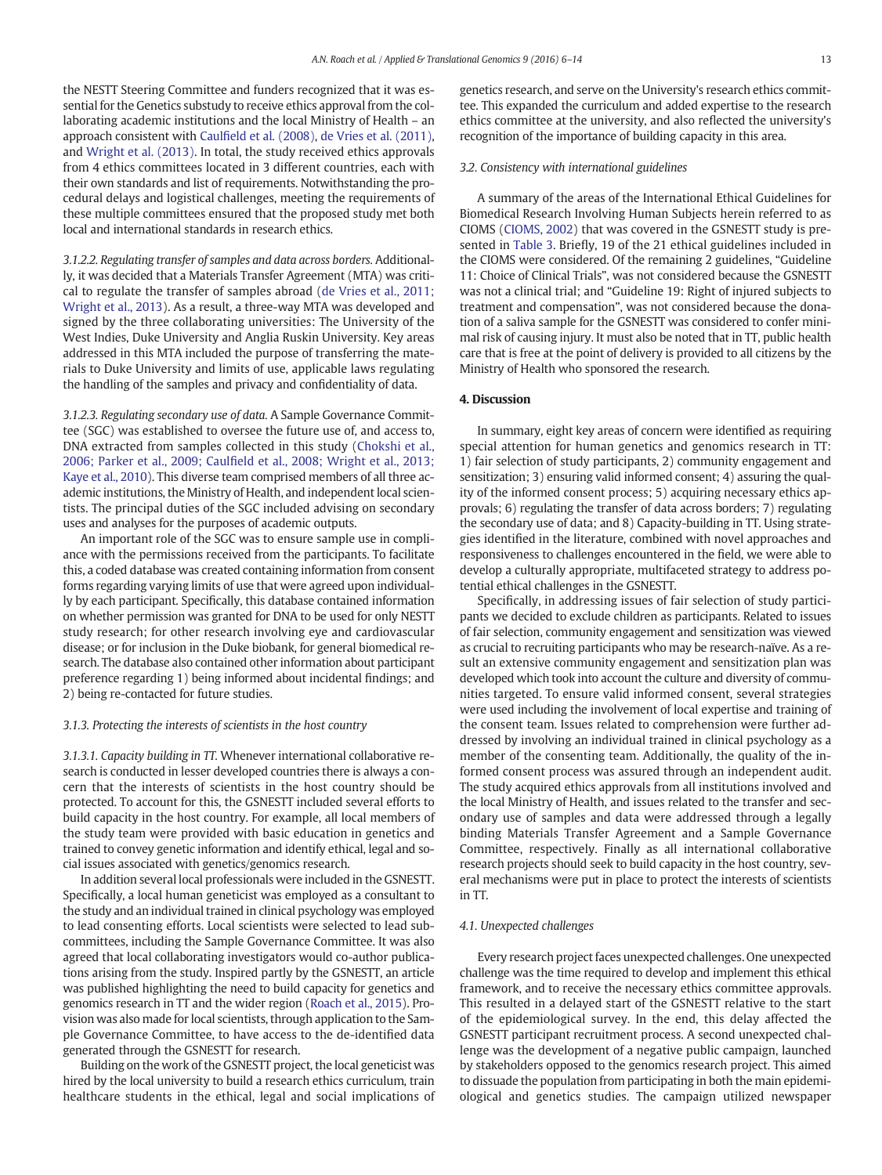the NESTT Steering Committee and funders recognized that it was essential for the Genetics substudy to receive ethics approval from the collaborating academic institutions and the local Ministry of Health – an approach consistent with Caulfi[eld et al. \(2008\),](#page-8-0) [de Vries et al. \(2011\),](#page-8-0) and [Wright et al. \(2013\)](#page-8-0). In total, the study received ethics approvals from 4 ethics committees located in 3 different countries, each with their own standards and list of requirements. Notwithstanding the procedural delays and logistical challenges, meeting the requirements of these multiple committees ensured that the proposed study met both local and international standards in research ethics.

3.1.2.2. Regulating transfer of samples and data across borders. Additionally, it was decided that a Materials Transfer Agreement (MTA) was critical to regulate the transfer of samples abroad [\(de Vries et al., 2011;](#page-8-0) [Wright et al., 2013\)](#page-8-0). As a result, a three-way MTA was developed and signed by the three collaborating universities: The University of the West Indies, Duke University and Anglia Ruskin University. Key areas addressed in this MTA included the purpose of transferring the materials to Duke University and limits of use, applicable laws regulating the handling of the samples and privacy and confidentiality of data.

3.1.2.3. Regulating secondary use of data. A Sample Governance Committee (SGC) was established to oversee the future use of, and access to, DNA extracted from samples collected in this study [\(Chokshi et al.,](#page-8-0) 2006; Parker et al., 2009; Caulfi[eld et al., 2008; Wright et al., 2013;](#page-8-0) [Kaye et al., 2010](#page-8-0)). This diverse team comprised members of all three academic institutions, the Ministry of Health, and independent local scientists. The principal duties of the SGC included advising on secondary uses and analyses for the purposes of academic outputs.

An important role of the SGC was to ensure sample use in compliance with the permissions received from the participants. To facilitate this, a coded database was created containing information from consent forms regarding varying limits of use that were agreed upon individually by each participant. Specifically, this database contained information on whether permission was granted for DNA to be used for only NESTT study research; for other research involving eye and cardiovascular disease; or for inclusion in the Duke biobank, for general biomedical research. The database also contained other information about participant preference regarding 1) being informed about incidental findings; and 2) being re-contacted for future studies.

#### 3.1.3. Protecting the interests of scientists in the host country

3.1.3.1. Capacity building in TT. Whenever international collaborative research is conducted in lesser developed countries there is always a concern that the interests of scientists in the host country should be protected. To account for this, the GSNESTT included several efforts to build capacity in the host country. For example, all local members of the study team were provided with basic education in genetics and trained to convey genetic information and identify ethical, legal and social issues associated with genetics/genomics research.

In addition several local professionals were included in the GSNESTT. Specifically, a local human geneticist was employed as a consultant to the study and an individual trained in clinical psychology was employed to lead consenting efforts. Local scientists were selected to lead subcommittees, including the Sample Governance Committee. It was also agreed that local collaborating investigators would co-author publications arising from the study. Inspired partly by the GSNESTT, an article was published highlighting the need to build capacity for genetics and genomics research in TT and the wider region ([Roach et al., 2015](#page-8-0)). Provision was also made for local scientists, through application to the Sample Governance Committee, to have access to the de-identified data generated through the GSNESTT for research.

Building on the work of the GSNESTT project, the local geneticist was hired by the local university to build a research ethics curriculum, train healthcare students in the ethical, legal and social implications of genetics research, and serve on the University's research ethics committee. This expanded the curriculum and added expertise to the research ethics committee at the university, and also reflected the university's recognition of the importance of building capacity in this area.

#### 3.2. Consistency with international guidelines

A summary of the areas of the International Ethical Guidelines for Biomedical Research Involving Human Subjects herein referred to as CIOMS ([CIOMS, 2002](#page-8-0)) that was covered in the GSNESTT study is presented in [Table 3.](#page-6-0) Briefly, 19 of the 21 ethical guidelines included in the CIOMS were considered. Of the remaining 2 guidelines, "Guideline 11: Choice of Clinical Trials", was not considered because the GSNESTT was not a clinical trial; and "Guideline 19: Right of injured subjects to treatment and compensation", was not considered because the donation of a saliva sample for the GSNESTT was considered to confer minimal risk of causing injury. It must also be noted that in TT, public health care that is free at the point of delivery is provided to all citizens by the Ministry of Health who sponsored the research.

#### 4. Discussion

In summary, eight key areas of concern were identified as requiring special attention for human genetics and genomics research in TT: 1) fair selection of study participants, 2) community engagement and sensitization; 3) ensuring valid informed consent; 4) assuring the quality of the informed consent process; 5) acquiring necessary ethics approvals; 6) regulating the transfer of data across borders; 7) regulating the secondary use of data; and 8) Capacity-building in TT. Using strategies identified in the literature, combined with novel approaches and responsiveness to challenges encountered in the field, we were able to develop a culturally appropriate, multifaceted strategy to address potential ethical challenges in the GSNESTT.

Specifically, in addressing issues of fair selection of study participants we decided to exclude children as participants. Related to issues of fair selection, community engagement and sensitization was viewed as crucial to recruiting participants who may be research-naïve. As a result an extensive community engagement and sensitization plan was developed which took into account the culture and diversity of communities targeted. To ensure valid informed consent, several strategies were used including the involvement of local expertise and training of the consent team. Issues related to comprehension were further addressed by involving an individual trained in clinical psychology as a member of the consenting team. Additionally, the quality of the informed consent process was assured through an independent audit. The study acquired ethics approvals from all institutions involved and the local Ministry of Health, and issues related to the transfer and secondary use of samples and data were addressed through a legally binding Materials Transfer Agreement and a Sample Governance Committee, respectively. Finally as all international collaborative research projects should seek to build capacity in the host country, several mechanisms were put in place to protect the interests of scientists in TT.

#### 4.1. Unexpected challenges

Every research project faces unexpected challenges. One unexpected challenge was the time required to develop and implement this ethical framework, and to receive the necessary ethics committee approvals. This resulted in a delayed start of the GSNESTT relative to the start of the epidemiological survey. In the end, this delay affected the GSNESTT participant recruitment process. A second unexpected challenge was the development of a negative public campaign, launched by stakeholders opposed to the genomics research project. This aimed to dissuade the population from participating in both the main epidemiological and genetics studies. The campaign utilized newspaper